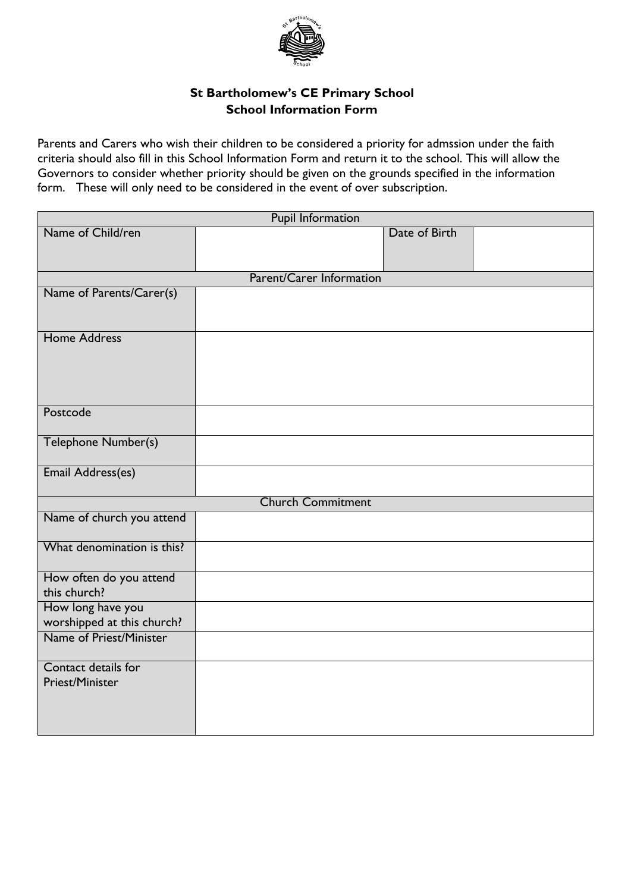

## **St Bartholomew's CE Primary School School Information Form**

Parents and Carers who wish their children to be considered a priority for admssion under the faith criteria should also fill in this School Information Form and return it to the school. This will allow the Governors to consider whether priority should be given on the grounds specified in the information form. These will only need to be considered in the event of over subscription.

| Pupil Information                               |  |               |
|-------------------------------------------------|--|---------------|
| Name of Child/ren                               |  | Date of Birth |
|                                                 |  |               |
|                                                 |  |               |
| Parent/Carer Information                        |  |               |
| Name of Parents/Carer(s)                        |  |               |
|                                                 |  |               |
| <b>Home Address</b>                             |  |               |
|                                                 |  |               |
|                                                 |  |               |
|                                                 |  |               |
|                                                 |  |               |
| Postcode                                        |  |               |
|                                                 |  |               |
| Telephone Number(s)                             |  |               |
|                                                 |  |               |
| Email Address(es)                               |  |               |
| <b>Church Commitment</b>                        |  |               |
| Name of church you attend                       |  |               |
|                                                 |  |               |
| What denomination is this?                      |  |               |
|                                                 |  |               |
| How often do you attend<br>this church?         |  |               |
|                                                 |  |               |
| How long have you<br>worshipped at this church? |  |               |
| Name of Priest/Minister                         |  |               |
|                                                 |  |               |
| Contact details for                             |  |               |
| Priest/Minister                                 |  |               |
|                                                 |  |               |
|                                                 |  |               |
|                                                 |  |               |